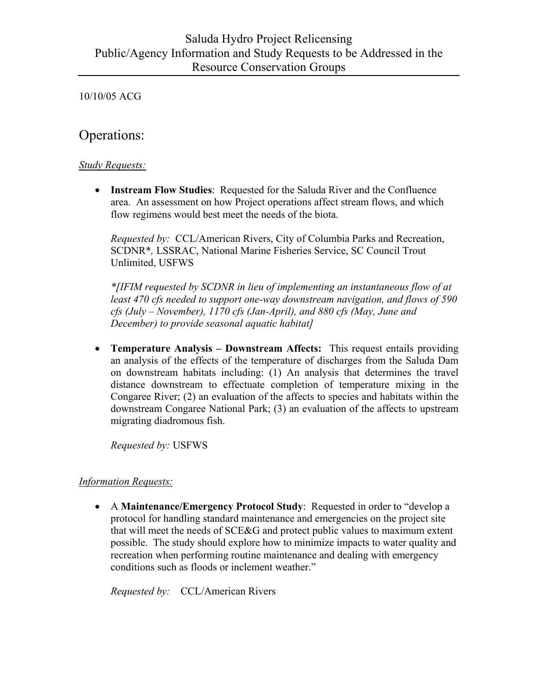# Operations:

## *Study Requests:*

• **Instream Flow Studies**: Requested for the Saluda River and the Confluence area. An assessment on how Project operations affect stream flows, and which flow regimens would best meet the needs of the biota.

 *Requested by:* CCL/American Rivers, City of Columbia Parks and Recreation, SCDNR\**,* LSSRAC, National Marine Fisheries Service, SC Council Trout Unlimited, USFWS

 *\*[IFIM requested by SCDNR in lieu of implementing an instantaneous flow of at least 470 cfs needed to support one-way downstream navigation, and flows of 590 cfs (July – November), 1170 cfs (Jan-April), and 880 cfs (May, June and December) to provide seasonal aquatic habitat]*

• **Temperature Analysis – Downstream Affects:** This request entails providing an analysis of the effects of the temperature of discharges from the Saluda Dam on downstream habitats including: (1) An analysis that determines the travel distance downstream to effectuate completion of temperature mixing in the Congaree River; (2) an evaluation of the affects to species and habitats within the downstream Congaree National Park; (3) an evaluation of the affects to upstream migrating diadromous fish.

 *Requested by:* USFWS

# *Information Requests:*

• A **Maintenance/Emergency Protocol Study**: Requested in order to "develop a protocol for handling standard maintenance and emergencies on the project site that will meet the needs of SCE&G and protect public values to maximum extent possible. The study should explore how to minimize impacts to water quality and recreation when performing routine maintenance and dealing with emergency conditions such as floods or inclement weather."

 *Requested by:* CCL/American Rivers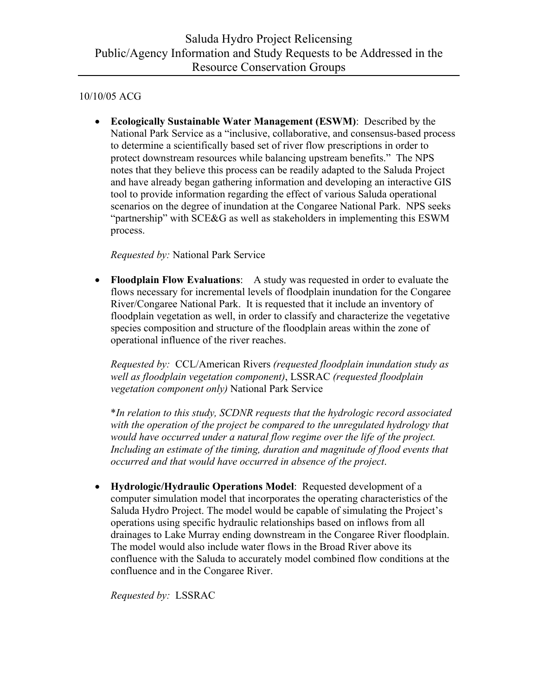• **Ecologically Sustainable Water Management (ESWM)**: Described by the National Park Service as a "inclusive, collaborative, and consensus-based process to determine a scientifically based set of river flow prescriptions in order to protect downstream resources while balancing upstream benefits." The NPS notes that they believe this process can be readily adapted to the Saluda Project and have already began gathering information and developing an interactive GIS tool to provide information regarding the effect of various Saluda operational scenarios on the degree of inundation at the Congaree National Park. NPS seeks "partnership" with SCE&G as well as stakeholders in implementing this ESWM process.

 *Requested by:* National Park Service

• **Floodplain Flow Evaluations**: A study was requested in order to evaluate the flows necessary for incremental levels of floodplain inundation for the Congaree River/Congaree National Park. It is requested that it include an inventory of floodplain vegetation as well, in order to classify and characterize the vegetative species composition and structure of the floodplain areas within the zone of operational influence of the river reaches.

 *Requested by:* CCL/American Rivers *(requested floodplain inundation study as well as floodplain vegetation component)*, LSSRAC *(requested floodplain vegetation component only)* National Park Service

 \**In relation to this study, SCDNR requests that the hydrologic record associated with the operation of the project be compared to the unregulated hydrology that would have occurred under a natural flow regime over the life of the project.*  Including an estimate of the timing, duration and magnitude of flood events that  *occurred and that would have occurred in absence of the project*.

• **Hydrologic/Hydraulic Operations Model**: Requested development of a computer simulation model that incorporates the operating characteristics of the Saluda Hydro Project. The model would be capable of simulating the Project's operations using specific hydraulic relationships based on inflows from all drainages to Lake Murray ending downstream in the Congaree River floodplain. The model would also include water flows in the Broad River above its confluence with the Saluda to accurately model combined flow conditions at the confluence and in the Congaree River.

 *Requested by:* LSSRAC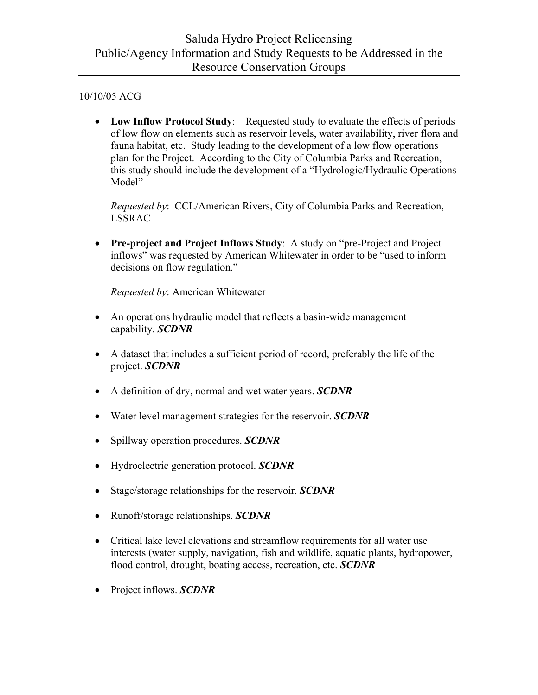• Low Inflow Protocol Study: Requested study to evaluate the effects of periods of low flow on elements such as reservoir levels, water availability, river flora and fauna habitat, etc. Study leading to the development of a low flow operations plan for the Project. According to the City of Columbia Parks and Recreation, this study should include the development of a "Hydrologic/Hydraulic Operations Model"

 *Requested by*: CCL/American Rivers, City of Columbia Parks and Recreation, LSSRAC

• **Pre-project and Project Inflows Study**: A study on "pre-Project and Project inflows" was requested by American Whitewater in order to be "used to inform decisions on flow regulation."

 *Requested by*: American Whitewater

- An operations hydraulic model that reflects a basin-wide management capability. *SCDNR*
- A dataset that includes a sufficient period of record, preferably the life of the project. *SCDNR*
- A definition of dry, normal and wet water years. *SCDNR*
- Water level management strategies for the reservoir. *SCDNR*
- Spillway operation procedures. *SCDNR*
- Hydroelectric generation protocol. *SCDNR*
- Stage/storage relationships for the reservoir. *SCDNR*
- Runoff/storage relationships. *SCDNR*
- Critical lake level elevations and streamflow requirements for all water use interests (water supply, navigation, fish and wildlife, aquatic plants, hydropower, flood control, drought, boating access, recreation, etc. *SCDNR*
- Project inflows. *SCDNR*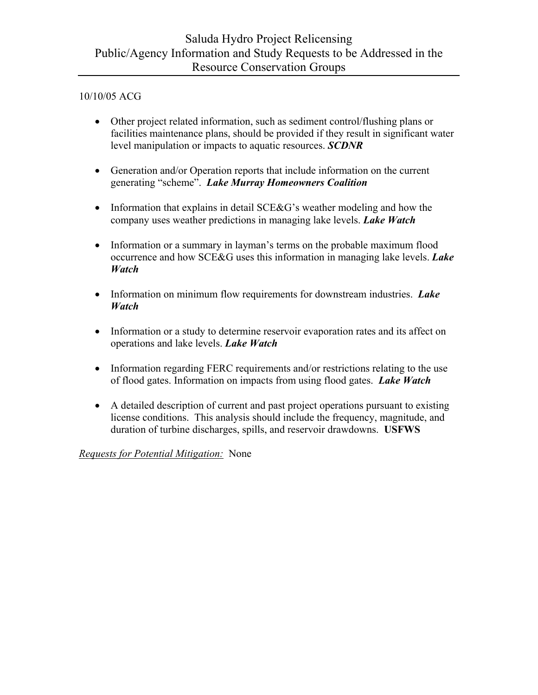- Other project related information, such as sediment control/flushing plans or facilities maintenance plans, should be provided if they result in significant water level manipulation or impacts to aquatic resources. *SCDNR*
- Generation and/or Operation reports that include information on the current generating "scheme". *Lake Murray Homeowners Coalition*
- Information that explains in detail SCE&G's weather modeling and how the company uses weather predictions in managing lake levels. *Lake Watch*
- Information or a summary in layman's terms on the probable maximum flood occurrence and how SCE&G uses this information in managing lake levels. *Lake Watch*
- Information on minimum flow requirements for downstream industries. *Lake Watch*
- Information or a study to determine reservoir evaporation rates and its affect on operations and lake levels. *Lake Watch*
- Information regarding FERC requirements and/or restrictions relating to the use of flood gates. Information on impacts from using flood gates. *Lake Watch*
- A detailed description of current and past project operations pursuant to existing license conditions. This analysis should include the frequency, magnitude, and duration of turbine discharges, spills, and reservoir drawdowns. **USFWS**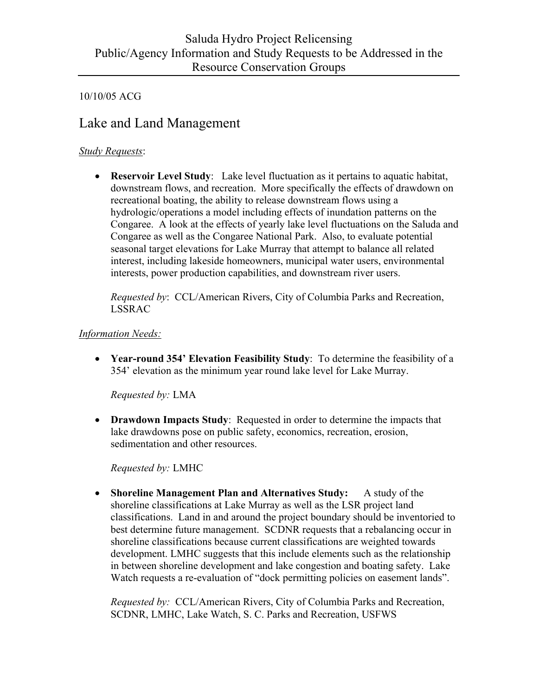# Lake and Land Management

## *Study Requests*:

• **Reservoir Level Study**: Lake level fluctuation as it pertains to aquatic habitat, downstream flows, and recreation. More specifically the effects of drawdown on recreational boating, the ability to release downstream flows using a hydrologic/operations a model including effects of inundation patterns on the Congaree. A look at the effects of yearly lake level fluctuations on the Saluda and Congaree as well as the Congaree National Park. Also, to evaluate potential seasonal target elevations for Lake Murray that attempt to balance all related interest, including lakeside homeowners, municipal water users, environmental interests, power production capabilities, and downstream river users.

 *Requested by*: CCL/American Rivers, City of Columbia Parks and Recreation, LSSRAC

## *Information Needs:*

• **Year-round 354' Elevation Feasibility Study**: To determine the feasibility of a 354' elevation as the minimum year round lake level for Lake Murray.

 *Requested by:* LMA

• **Drawdown Impacts Study**: Requested in order to determine the impacts that lake drawdowns pose on public safety, economics, recreation, erosion, sedimentation and other resources.

 *Requested by:* LMHC

• **Shoreline Management Plan and Alternatives Study:** A study of the shoreline classifications at Lake Murray as well as the LSR project land classifications. Land in and around the project boundary should be inventoried to best determine future management. SCDNR requests that a rebalancing occur in shoreline classifications because current classifications are weighted towards development. LMHC suggests that this include elements such as the relationship in between shoreline development and lake congestion and boating safety. Lake Watch requests a re-evaluation of "dock permitting policies on easement lands".

 *Requested by:* CCL/American Rivers, City of Columbia Parks and Recreation, SCDNR, LMHC, Lake Watch, S. C. Parks and Recreation, USFWS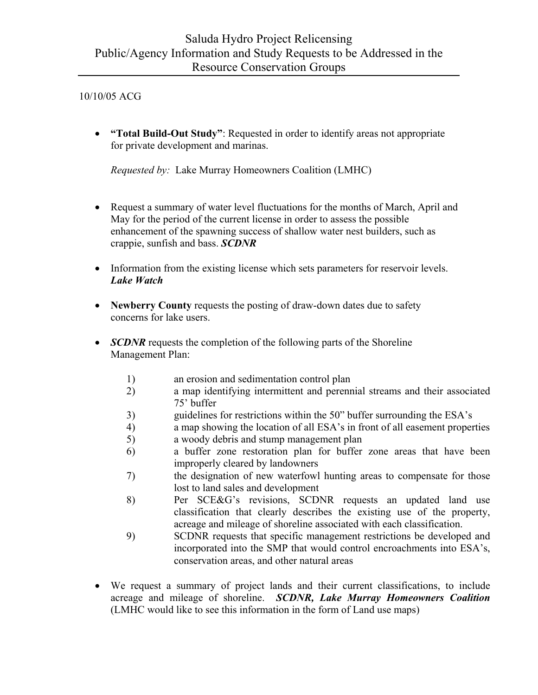• **"Total Build-Out Study"**: Requested in order to identify areas not appropriate for private development and marinas.

 *Requested by:* Lake Murray Homeowners Coalition (LMHC)

- Request a summary of water level fluctuations for the months of March, April and May for the period of the current license in order to assess the possible enhancement of the spawning success of shallow water nest builders, such as crappie, sunfish and bass. *SCDNR*
- Information from the existing license which sets parameters for reservoir levels. *Lake Watch*
- **Newberry County** requests the posting of draw-down dates due to safety concerns for lake users.
- *SCDNR* requests the completion of the following parts of the Shoreline Management Plan:
	- 1) an erosion and sedimentation control plan
	- 2) a map identifying intermittent and perennial streams and their associated 75' buffer
	- 3) guidelines for restrictions within the 50" buffer surrounding the ESA's
	- 4) a map showing the location of all ESA's in front of all easement properties
	- 5) a woody debris and stump management plan
	- 6) a buffer zone restoration plan for buffer zone areas that have been improperly cleared by landowners
	- 7) the designation of new waterfowl hunting areas to compensate for those lost to land sales and development
	- 8) Per SCE&G's revisions, SCDNR requests an updated land use classification that clearly describes the existing use of the property, acreage and mileage of shoreline associated with each classification.
	- 9) SCDNR requests that specific management restrictions be developed and incorporated into the SMP that would control encroachments into ESA's, conservation areas, and other natural areas
- We request a summary of project lands and their current classifications, to include acreage and mileage of shoreline. *SCDNR, Lake Murray Homeowners Coalition* (LMHC would like to see this information in the form of Land use maps)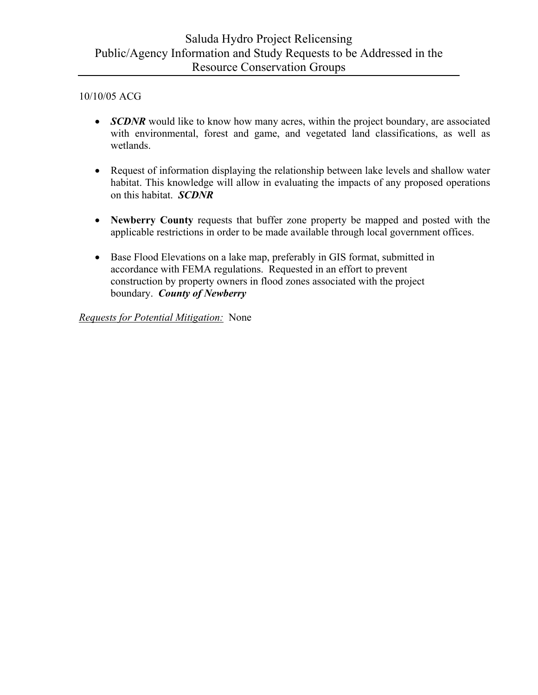- *SCDNR* would like to know how many acres, within the project boundary, are associated with environmental, forest and game, and vegetated land classifications, as well as wetlands.
- Request of information displaying the relationship between lake levels and shallow water habitat. This knowledge will allow in evaluating the impacts of any proposed operations on this habitat. *SCDNR*
- **Newberry County** requests that buffer zone property be mapped and posted with the applicable restrictions in order to be made available through local government offices.
- Base Flood Elevations on a lake map, preferably in GIS format, submitted in accordance with FEMA regulations. Requested in an effort to prevent construction by property owners in flood zones associated with the project boundary. *County of Newberry*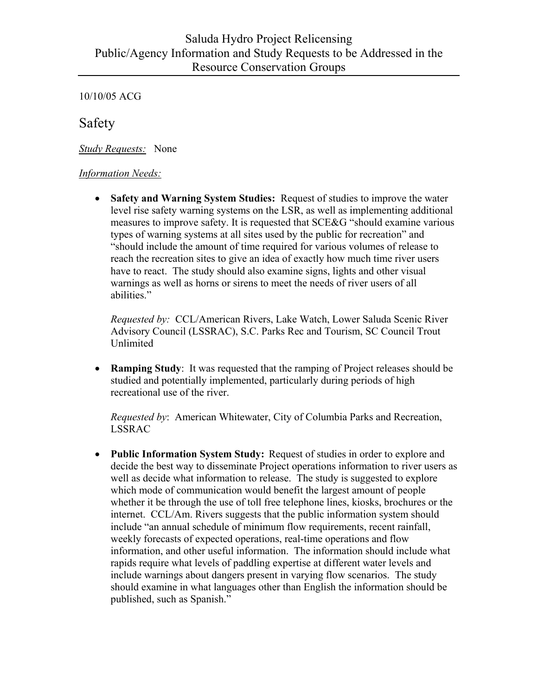Safety

*Study Requests:* None

#### *Information Needs:*

• **Safety and Warning System Studies:** Request of studies to improve the water level rise safety warning systems on the LSR, as well as implementing additional measures to improve safety. It is requested that SCE&G "should examine various types of warning systems at all sites used by the public for recreation" and "should include the amount of time required for various volumes of release to reach the recreation sites to give an idea of exactly how much time river users have to react. The study should also examine signs, lights and other visual warnings as well as horns or sirens to meet the needs of river users of all abilities."

 *Requested by:* CCL/American Rivers, Lake Watch, Lower Saluda Scenic River Advisory Council (LSSRAC), S.C. Parks Rec and Tourism, SC Council Trout Unlimited

• **Ramping Study**: It was requested that the ramping of Project releases should be studied and potentially implemented, particularly during periods of high recreational use of the river.

 *Requested by*: American Whitewater, City of Columbia Parks and Recreation, LSSRAC

• **Public Information System Study:** Request of studies in order to explore and decide the best way to disseminate Project operations information to river users as well as decide what information to release. The study is suggested to explore which mode of communication would benefit the largest amount of people whether it be through the use of toll free telephone lines, kiosks, brochures or the internet. CCL/Am. Rivers suggests that the public information system should include "an annual schedule of minimum flow requirements, recent rainfall, weekly forecasts of expected operations, real-time operations and flow information, and other useful information. The information should include what rapids require what levels of paddling expertise at different water levels and include warnings about dangers present in varying flow scenarios. The study should examine in what languages other than English the information should be published, such as Spanish."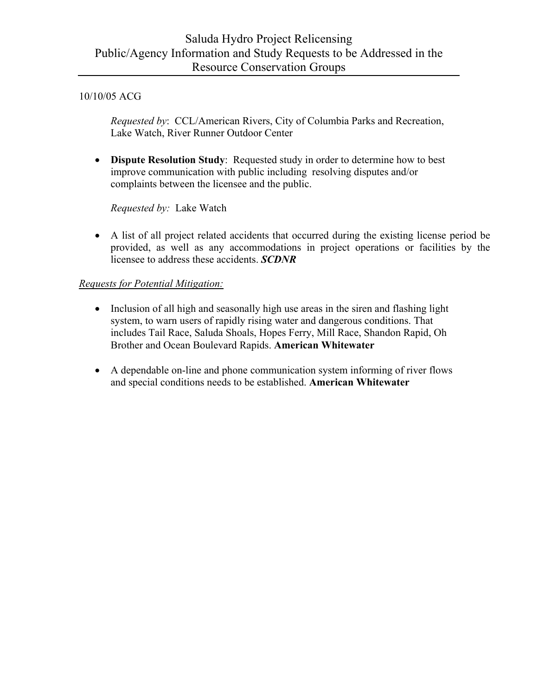*Requested by*: CCL/American Rivers, City of Columbia Parks and Recreation, Lake Watch, River Runner Outdoor Center

• **Dispute Resolution Study**: Requested study in order to determine how to best improve communication with public including resolving disputes and/or complaints between the licensee and the public.

 *Requested by:* Lake Watch

• A list of all project related accidents that occurred during the existing license period be provided, as well as any accommodations in project operations or facilities by the licensee to address these accidents. *SCDNR*

- Inclusion of all high and seasonally high use areas in the siren and flashing light system, to warn users of rapidly rising water and dangerous conditions. That includes Tail Race, Saluda Shoals, Hopes Ferry, Mill Race, Shandon Rapid, Oh Brother and Ocean Boulevard Rapids. **American Whitewater**
- A dependable on-line and phone communication system informing of river flows and special conditions needs to be established. **American Whitewater**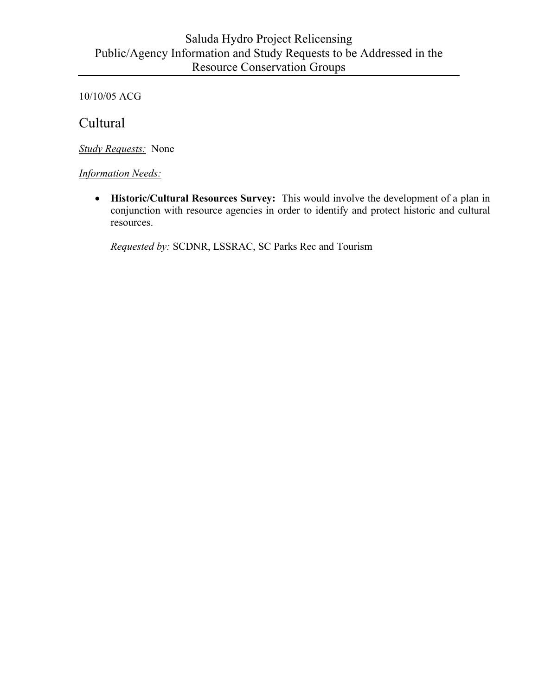# Saluda Hydro Project Relicensing Public/Agency Information and Study Requests to be Addressed in the Resource Conservation Groups

10/10/05 ACG

Cultural

*Study Requests:* None

*Information Needs:*

• **Historic/Cultural Resources Survey:** This would involve the development of a plan in conjunction with resource agencies in order to identify and protect historic and cultural resources.

 *Requested by:* SCDNR, LSSRAC, SC Parks Rec and Tourism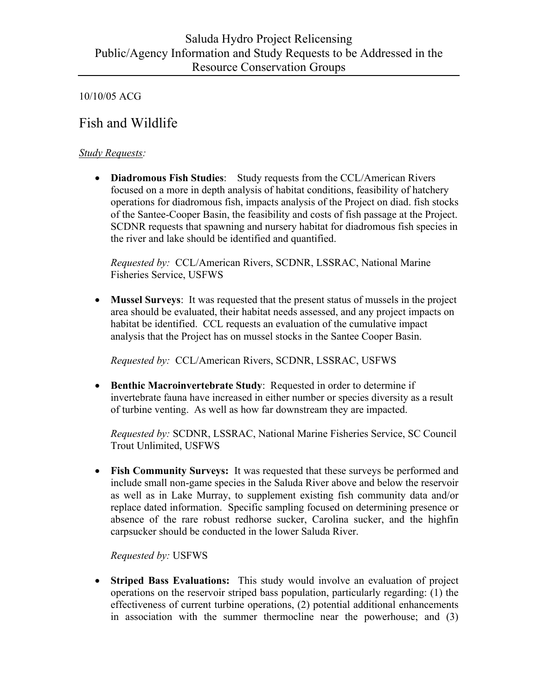# Fish and Wildlife

#### *Study Requests:*

• **Diadromous Fish Studies**: Study requests from the CCL/American Rivers focused on a more in depth analysis of habitat conditions, feasibility of hatchery operations for diadromous fish, impacts analysis of the Project on diad. fish stocks of the Santee-Cooper Basin, the feasibility and costs of fish passage at the Project. SCDNR requests that spawning and nursery habitat for diadromous fish species in the river and lake should be identified and quantified.

 *Requested by:* CCL/American Rivers, SCDNR, LSSRAC, National Marine Fisheries Service, USFWS

• **Mussel Surveys**: It was requested that the present status of mussels in the project area should be evaluated, their habitat needs assessed, and any project impacts on habitat be identified. CCL requests an evaluation of the cumulative impact analysis that the Project has on mussel stocks in the Santee Cooper Basin.

 *Requested by:* CCL/American Rivers, SCDNR, LSSRAC, USFWS

• **Benthic Macroinvertebrate Study**: Requested in order to determine if invertebrate fauna have increased in either number or species diversity as a result of turbine venting. As well as how far downstream they are impacted.

 *Requested by:* SCDNR, LSSRAC, National Marine Fisheries Service, SC Council Trout Unlimited, USFWS

• **Fish Community Surveys:** It was requested that these surveys be performed and include small non-game species in the Saluda River above and below the reservoir as well as in Lake Murray, to supplement existing fish community data and/or replace dated information. Specific sampling focused on determining presence or absence of the rare robust redhorse sucker, Carolina sucker, and the highfin carpsucker should be conducted in the lower Saluda River.

 *Requested by:* USFWS

• **Striped Bass Evaluations:** This study would involve an evaluation of project operations on the reservoir striped bass population, particularly regarding: (1) the effectiveness of current turbine operations, (2) potential additional enhancements in association with the summer thermocline near the powerhouse; and (3)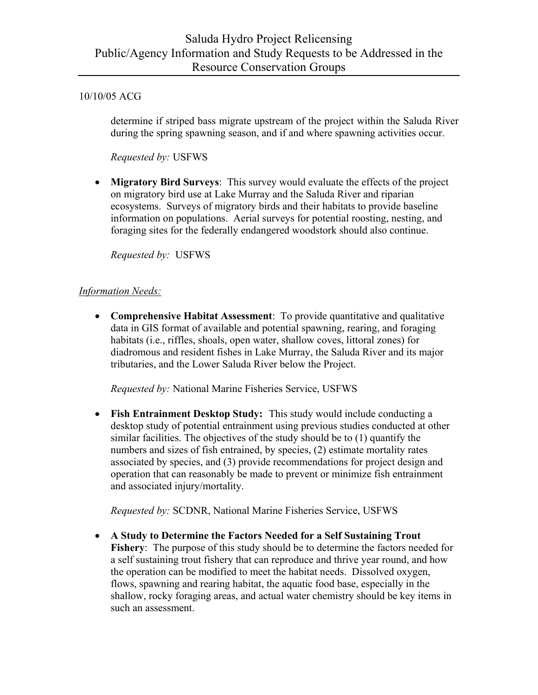determine if striped bass migrate upstream of the project within the Saluda River during the spring spawning season, and if and where spawning activities occur.

 *Requested by:* USFWS

• **Migratory Bird Surveys**: This survey would evaluate the effects of the project on migratory bird use at Lake Murray and the Saluda River and riparian ecosystems. Surveys of migratory birds and their habitats to provide baseline information on populations. Aerial surveys for potential roosting, nesting, and foraging sites for the federally endangered woodstork should also continue.

 *Requested by:* USFWS

## *Information Needs:*

• **Comprehensive Habitat Assessment**: To provide quantitative and qualitative data in GIS format of available and potential spawning, rearing, and foraging habitats (i.e., riffles, shoals, open water, shallow coves, littoral zones) for diadromous and resident fishes in Lake Murray, the Saluda River and its major tributaries, and the Lower Saluda River below the Project.

 *Requested by:* National Marine Fisheries Service, USFWS

• **Fish Entrainment Desktop Study:** This study would include conducting a desktop study of potential entrainment using previous studies conducted at other similar facilities. The objectives of the study should be to (1) quantify the numbers and sizes of fish entrained, by species, (2) estimate mortality rates associated by species, and (3) provide recommendations for project design and operation that can reasonably be made to prevent or minimize fish entrainment and associated injury/mortality.

 *Requested by:* SCDNR, National Marine Fisheries Service, USFWS

• **A Study to Determine the Factors Needed for a Self Sustaining Trout Fishery**: The purpose of this study should be to determine the factors needed for a self sustaining trout fishery that can reproduce and thrive year round, and how the operation can be modified to meet the habitat needs. Dissolved oxygen, flows, spawning and rearing habitat, the aquatic food base, especially in the shallow, rocky foraging areas, and actual water chemistry should be key items in such an assessment.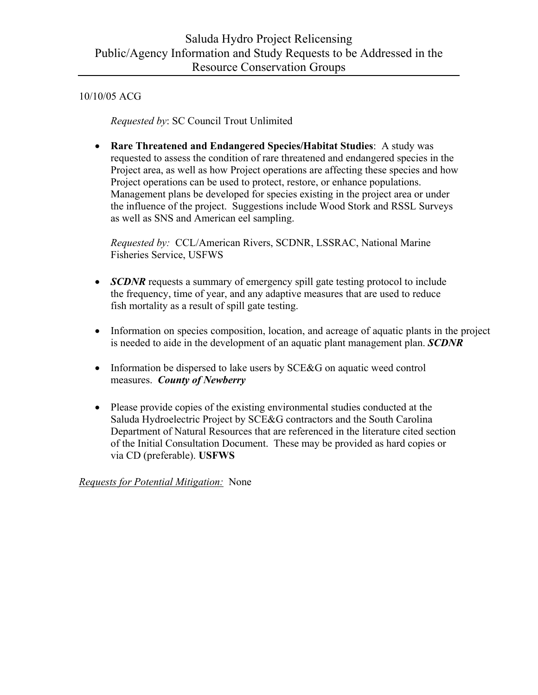*Requested by*: SC Council Trout Unlimited

• **Rare Threatened and Endangered Species/Habitat Studies**: A study was requested to assess the condition of rare threatened and endangered species in the Project area, as well as how Project operations are affecting these species and how Project operations can be used to protect, restore, or enhance populations. Management plans be developed for species existing in the project area or under the influence of the project. Suggestions include Wood Stork and RSSL Surveys as well as SNS and American eel sampling.

 *Requested by:* CCL/American Rivers, SCDNR, LSSRAC, National Marine Fisheries Service, USFWS

- *SCDNR* requests a summary of emergency spill gate testing protocol to include the frequency, time of year, and any adaptive measures that are used to reduce fish mortality as a result of spill gate testing.
- Information on species composition, location, and acreage of aquatic plants in the project is needed to aide in the development of an aquatic plant management plan. *SCDNR*
- Information be dispersed to lake users by SCE&G on aquatic weed control measures. *County of Newberry*
- Please provide copies of the existing environmental studies conducted at the Saluda Hydroelectric Project by SCE&G contractors and the South Carolina Department of Natural Resources that are referenced in the literature cited section of the Initial Consultation Document. These may be provided as hard copies or via CD (preferable). **USFWS**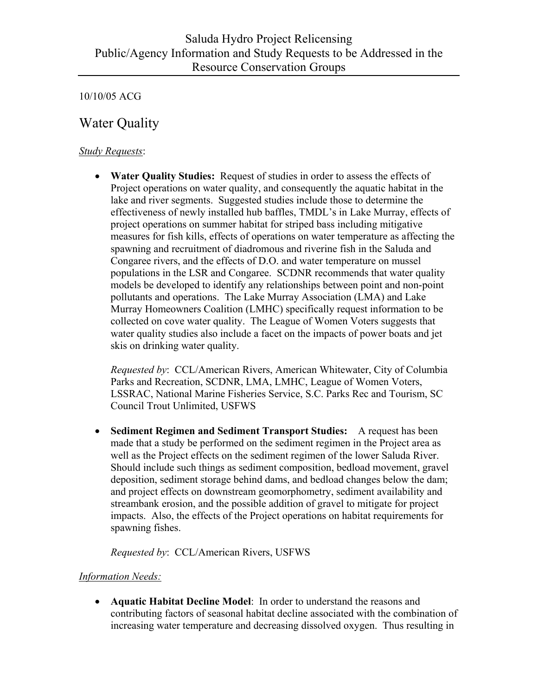# Water Quality

## *Study Requests*:

• **Water Quality Studies:** Request of studies in order to assess the effects of Project operations on water quality, and consequently the aquatic habitat in the lake and river segments. Suggested studies include those to determine the effectiveness of newly installed hub baffles, TMDL's in Lake Murray, effects of project operations on summer habitat for striped bass including mitigative measures for fish kills, effects of operations on water temperature as affecting the spawning and recruitment of diadromous and riverine fish in the Saluda and Congaree rivers, and the effects of D.O. and water temperature on mussel populations in the LSR and Congaree. SCDNR recommends that water quality models be developed to identify any relationships between point and non-point pollutants and operations. The Lake Murray Association (LMA) and Lake Murray Homeowners Coalition (LMHC) specifically request information to be collected on cove water quality. The League of Women Voters suggests that water quality studies also include a facet on the impacts of power boats and jet skis on drinking water quality.

 *Requested by*: CCL/American Rivers, American Whitewater, City of Columbia Parks and Recreation, SCDNR, LMA, LMHC, League of Women Voters, LSSRAC, National Marine Fisheries Service, S.C. Parks Rec and Tourism, SC Council Trout Unlimited, USFWS

• **Sediment Regimen and Sediment Transport Studies:** A request has been made that a study be performed on the sediment regimen in the Project area as well as the Project effects on the sediment regimen of the lower Saluda River. Should include such things as sediment composition, bedload movement, gravel deposition, sediment storage behind dams, and bedload changes below the dam; and project effects on downstream geomorphometry, sediment availability and streambank erosion, and the possible addition of gravel to mitigate for project impacts. Also, the effects of the Project operations on habitat requirements for spawning fishes.

 *Requested by*: CCL/American Rivers, USFWS

#### *Information Needs:*

• **Aquatic Habitat Decline Model**: In order to understand the reasons and contributing factors of seasonal habitat decline associated with the combination of increasing water temperature and decreasing dissolved oxygen. Thus resulting in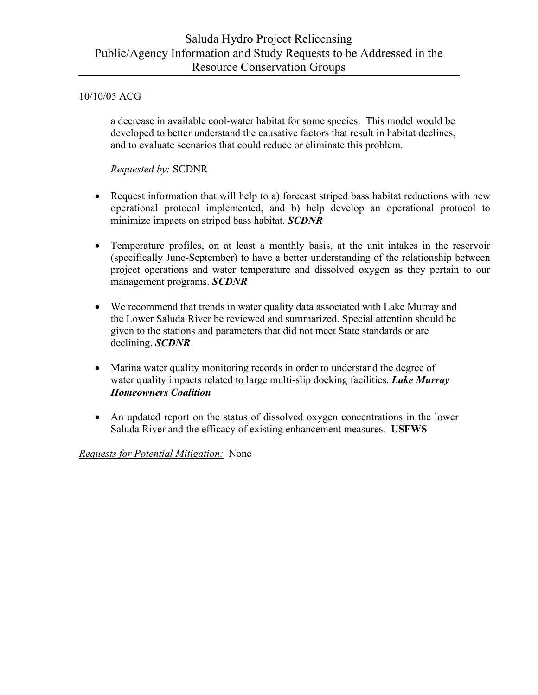a decrease in available cool-water habitat for some species. This model would be developed to better understand the causative factors that result in habitat declines, and to evaluate scenarios that could reduce or eliminate this problem.

 *Requested by:* SCDNR

- Request information that will help to a) forecast striped bass habitat reductions with new operational protocol implemented, and b) help develop an operational protocol to minimize impacts on striped bass habitat. *SCDNR*
- Temperature profiles, on at least a monthly basis, at the unit intakes in the reservoir (specifically June-September) to have a better understanding of the relationship between project operations and water temperature and dissolved oxygen as they pertain to our management programs. *SCDNR*
- We recommend that trends in water quality data associated with Lake Murray and the Lower Saluda River be reviewed and summarized. Special attention should be given to the stations and parameters that did not meet State standards or are declining. *SCDNR*
- Marina water quality monitoring records in order to understand the degree of water quality impacts related to large multi-slip docking facilities. *Lake Murray Homeowners Coalition*
- An updated report on the status of dissolved oxygen concentrations in the lower Saluda River and the efficacy of existing enhancement measures. **USFWS**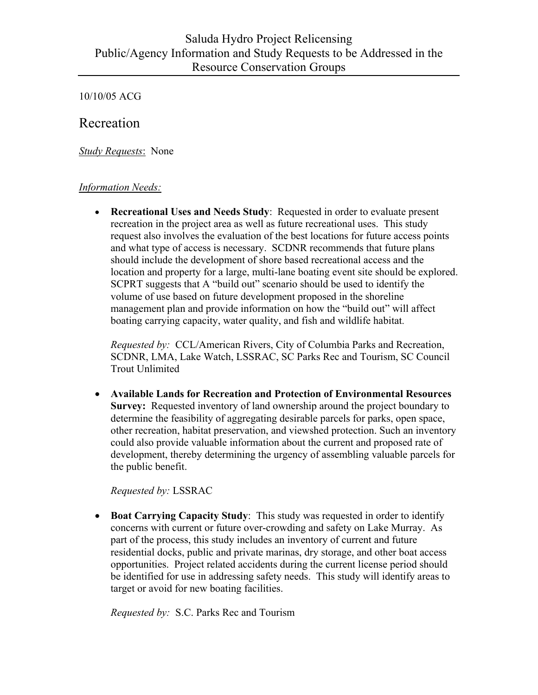# Recreation

*Study Requests*: None

#### *Information Needs:*

• **Recreational Uses and Needs Study**: Requested in order to evaluate present recreation in the project area as well as future recreational uses. This study request also involves the evaluation of the best locations for future access points and what type of access is necessary. SCDNR recommends that future plans should include the development of shore based recreational access and the location and property for a large, multi-lane boating event site should be explored. SCPRT suggests that A "build out" scenario should be used to identify the volume of use based on future development proposed in the shoreline management plan and provide information on how the "build out" will affect boating carrying capacity, water quality, and fish and wildlife habitat.

 *Requested by:* CCL/American Rivers, City of Columbia Parks and Recreation, SCDNR, LMA, Lake Watch, LSSRAC, SC Parks Rec and Tourism, SC Council Trout Unlimited

• **Available Lands for Recreation and Protection of Environmental Resources Survey:** Requested inventory of land ownership around the project boundary to determine the feasibility of aggregating desirable parcels for parks, open space, other recreation, habitat preservation, and viewshed protection. Such an inventory could also provide valuable information about the current and proposed rate of development, thereby determining the urgency of assembling valuable parcels for the public benefit.

 *Requested by:* LSSRAC

• **Boat Carrying Capacity Study**: This study was requested in order to identify concerns with current or future over-crowding and safety on Lake Murray. As part of the process, this study includes an inventory of current and future residential docks, public and private marinas, dry storage, and other boat access opportunities. Project related accidents during the current license period should be identified for use in addressing safety needs. This study will identify areas to target or avoid for new boating facilities.

 *Requested by:* S.C. Parks Rec and Tourism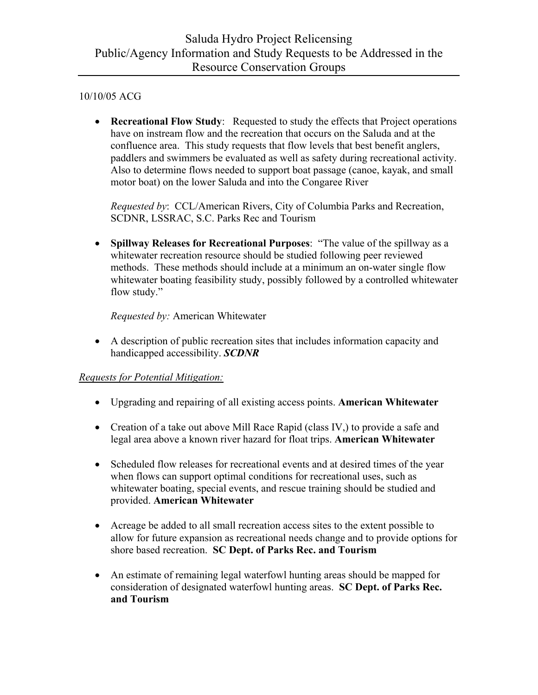• **Recreational Flow Study**: Requested to study the effects that Project operations have on instream flow and the recreation that occurs on the Saluda and at the confluence area. This study requests that flow levels that best benefit anglers, paddlers and swimmers be evaluated as well as safety during recreational activity. Also to determine flows needed to support boat passage (canoe, kayak, and small motor boat) on the lower Saluda and into the Congaree River

 *Requested by*: CCL/American Rivers, City of Columbia Parks and Recreation, SCDNR, LSSRAC, S.C. Parks Rec and Tourism

• **Spillway Releases for Recreational Purposes**: "The value of the spillway as a whitewater recreation resource should be studied following peer reviewed methods. These methods should include at a minimum an on-water single flow whitewater boating feasibility study, possibly followed by a controlled whitewater flow study."

 *Requested by:* American Whitewater

• A description of public recreation sites that includes information capacity and handicapped accessibility. *SCDNR*

- Upgrading and repairing of all existing access points. **American Whitewater**
- Creation of a take out above Mill Race Rapid (class IV.) to provide a safe and legal area above a known river hazard for float trips. **American Whitewater**
- Scheduled flow releases for recreational events and at desired times of the year when flows can support optimal conditions for recreational uses, such as whitewater boating, special events, and rescue training should be studied and provided. **American Whitewater**
- Acreage be added to all small recreation access sites to the extent possible to allow for future expansion as recreational needs change and to provide options for shore based recreation. **SC Dept. of Parks Rec. and Tourism**
- An estimate of remaining legal waterfowl hunting areas should be mapped for consideration of designated waterfowl hunting areas. **SC Dept. of Parks Rec. and Tourism**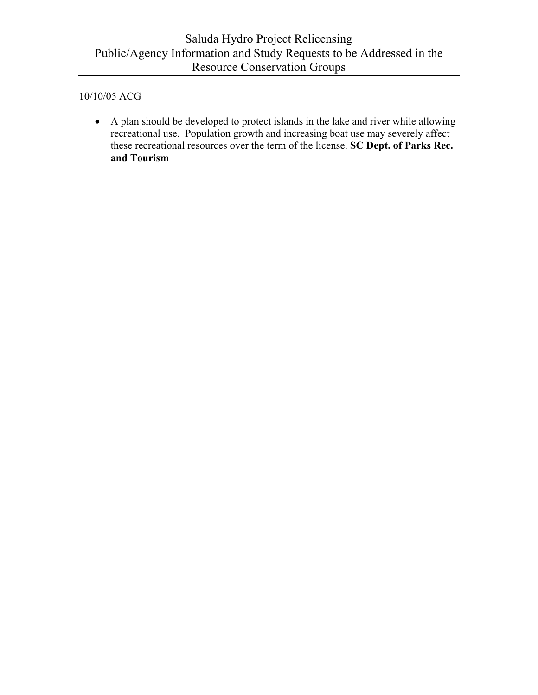• A plan should be developed to protect islands in the lake and river while allowing recreational use. Population growth and increasing boat use may severely affect these recreational resources over the term of the license. **SC Dept. of Parks Rec. and Tourism**